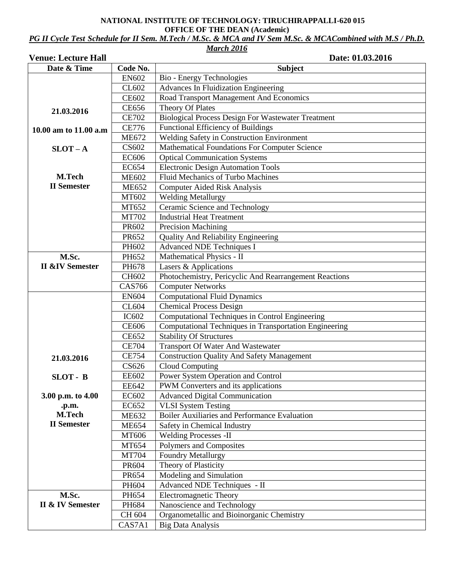### **NATIONAL INSTITUTE OF TECHNOLOGY: TIRUCHIRAPPALLI-620 015 OFFICE OF THE DEAN (Academic)**

*PG II Cycle Test Schedule for II Sem. M.Tech / M.Sc. & MCA and IV Sem M.Sc. & MCACombined with M.S / Ph.D. March 2016*

| <b>Venue: Lecture Hall</b> |                       | Date: 01.03.2016                                                           |  |  |  |  |  |  |
|----------------------------|-----------------------|----------------------------------------------------------------------------|--|--|--|--|--|--|
| Date & Time                | Code No.              | <b>Subject</b>                                                             |  |  |  |  |  |  |
|                            | <b>EN602</b>          | Bio - Energy Technologies                                                  |  |  |  |  |  |  |
|                            | CL602                 | <b>Advances In Fluidization Engineering</b>                                |  |  |  |  |  |  |
|                            | <b>CE602</b>          | Road Transport Management And Economics                                    |  |  |  |  |  |  |
| 21.03.2016                 | <b>CE656</b>          | Theory Of Plates                                                           |  |  |  |  |  |  |
|                            | <b>CE702</b>          | <b>Biological Process Design For Wastewater Treatment</b>                  |  |  |  |  |  |  |
| 10.00 am to 11.00 a.m      | <b>CE776</b>          | Functional Efficiency of Buildings                                         |  |  |  |  |  |  |
|                            | <b>ME672</b>          | Welding Safety in Construction Environment                                 |  |  |  |  |  |  |
| $SLOT - A$                 | <b>CS602</b>          | Mathematical Foundations For Computer Science                              |  |  |  |  |  |  |
|                            | <b>EC606</b>          | <b>Optical Communication Systems</b>                                       |  |  |  |  |  |  |
|                            | <b>EC654</b>          | <b>Electronic Design Automation Tools</b>                                  |  |  |  |  |  |  |
| M.Tech                     | <b>ME602</b>          | <b>Fluid Mechanics of Turbo Machines</b>                                   |  |  |  |  |  |  |
| <b>II</b> Semester         | <b>ME652</b>          | Computer Aided Risk Analysis                                               |  |  |  |  |  |  |
|                            | MT602                 | Welding Metallurgy                                                         |  |  |  |  |  |  |
|                            | MT652                 | Ceramic Science and Technology                                             |  |  |  |  |  |  |
|                            | <b>MT702</b>          | <b>Industrial Heat Treatment</b>                                           |  |  |  |  |  |  |
|                            | PR602                 | <b>Precision Machining</b>                                                 |  |  |  |  |  |  |
|                            | PR652                 | <b>Quality And Reliability Engineering</b>                                 |  |  |  |  |  |  |
|                            | PH602                 | <b>Advanced NDE Techniques I</b>                                           |  |  |  |  |  |  |
| M.Sc.                      | PH652                 | Mathematical Physics - II                                                  |  |  |  |  |  |  |
| <b>II &amp;IV Semester</b> | PH678                 | Lasers & Applications                                                      |  |  |  |  |  |  |
|                            | CH602                 | Photochemistry, Pericyclic And Rearrangement Reactions                     |  |  |  |  |  |  |
|                            | <b>CAS766</b>         | <b>Computer Networks</b>                                                   |  |  |  |  |  |  |
|                            | <b>EN604</b>          | <b>Computational Fluid Dynamics</b>                                        |  |  |  |  |  |  |
|                            | CL604                 | <b>Chemical Process Design</b>                                             |  |  |  |  |  |  |
|                            | IC602                 | Computational Techniques in Control Engineering                            |  |  |  |  |  |  |
|                            | <b>CE606</b>          | Computational Techniques in Transportation Engineering                     |  |  |  |  |  |  |
|                            | <b>CE652</b>          | <b>Stability Of Structures</b><br><b>Transport Of Water And Wastewater</b> |  |  |  |  |  |  |
|                            | <b>CE704</b>          |                                                                            |  |  |  |  |  |  |
| 21.03.2016                 | <b>CE754</b>          | <b>Construction Quality And Safety Management</b>                          |  |  |  |  |  |  |
|                            | CS626                 | <b>Cloud Computing</b>                                                     |  |  |  |  |  |  |
| SLOT - B                   | <b>EE602</b>          | Power System Operation and Control                                         |  |  |  |  |  |  |
|                            | <b>EE642</b>          | PWM Converters and its applications                                        |  |  |  |  |  |  |
| 3.00 p.m. to 4.00          | EC602                 | <b>Advanced Digital Communication</b>                                      |  |  |  |  |  |  |
| .p.m.<br>M.Tech            | EC652                 | <b>VLSI</b> System Testing                                                 |  |  |  |  |  |  |
| <b>II</b> Semester         | <b>ME632</b>          | Boiler Auxiliaries and Performance Evaluation                              |  |  |  |  |  |  |
|                            | <b>ME654</b>          | Safety in Chemical Industry                                                |  |  |  |  |  |  |
|                            | MT606                 | <b>Welding Processes -II</b>                                               |  |  |  |  |  |  |
|                            | MT654                 | Polymers and Composites                                                    |  |  |  |  |  |  |
|                            | <b>MT704</b><br>PR604 | <b>Foundry Metallurgy</b><br>Theory of Plasticity                          |  |  |  |  |  |  |
|                            | PR654                 | Modeling and Simulation                                                    |  |  |  |  |  |  |
|                            | PH604                 | Advanced NDE Techniques - II                                               |  |  |  |  |  |  |
| M.Sc.                      | PH654                 | <b>Electromagnetic Theory</b>                                              |  |  |  |  |  |  |
| II & IV Semester           | PH684                 | Nanoscience and Technology                                                 |  |  |  |  |  |  |
|                            | CH 604                | Organometallic and Bioinorganic Chemistry                                  |  |  |  |  |  |  |
|                            | CAS7A1                | <b>Big Data Analysis</b>                                                   |  |  |  |  |  |  |
|                            |                       |                                                                            |  |  |  |  |  |  |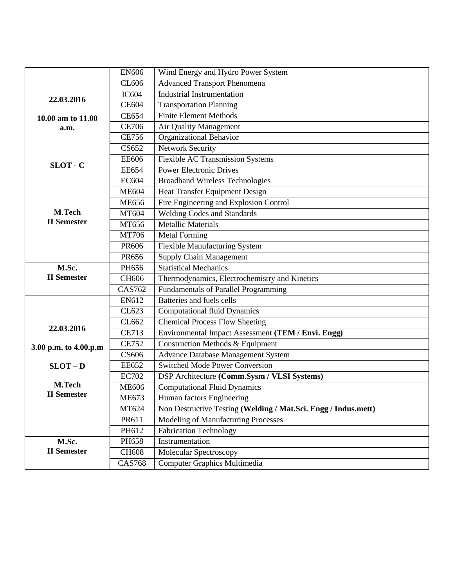|                                                                     | <b>EN606</b>                                     | Wind Energy and Hydro Power System                             |  |  |  |  |  |
|---------------------------------------------------------------------|--------------------------------------------------|----------------------------------------------------------------|--|--|--|--|--|
|                                                                     | CL606                                            | <b>Advanced Transport Phenomena</b>                            |  |  |  |  |  |
| 22.03.2016                                                          | <b>IC604</b>                                     | <b>Industrial Instrumentation</b>                              |  |  |  |  |  |
|                                                                     | <b>CE604</b>                                     | <b>Transportation Planning</b>                                 |  |  |  |  |  |
| 10.00 am to 11.00                                                   | <b>CE654</b>                                     | <b>Finite Element Methods</b>                                  |  |  |  |  |  |
| a.m.                                                                | <b>CE706</b>                                     | Air Quality Management                                         |  |  |  |  |  |
|                                                                     | <b>CE756</b>                                     | Organizational Behavior                                        |  |  |  |  |  |
|                                                                     | CS652                                            | <b>Network Security</b>                                        |  |  |  |  |  |
|                                                                     | <b>EE606</b>                                     | <b>Flexible AC Transmission Systems</b>                        |  |  |  |  |  |
| SLOT - C                                                            | <b>EE654</b>                                     | <b>Power Electronic Drives</b>                                 |  |  |  |  |  |
|                                                                     | <b>EC604</b>                                     | <b>Broadband Wireless Technologies</b>                         |  |  |  |  |  |
|                                                                     | <b>ME604</b>                                     | Heat Transfer Equipment Design                                 |  |  |  |  |  |
|                                                                     | <b>ME656</b>                                     | Fire Engineering and Explosion Control                         |  |  |  |  |  |
| M.Tech                                                              | MT604                                            | Welding Codes and Standards                                    |  |  |  |  |  |
| <b>II</b> Semester                                                  | MT656                                            | <b>Metallic Materials</b>                                      |  |  |  |  |  |
|                                                                     | MT706                                            | <b>Metal Forming</b>                                           |  |  |  |  |  |
|                                                                     | PR606                                            | <b>Flexible Manufacturing System</b>                           |  |  |  |  |  |
|                                                                     | PR656                                            | Supply Chain Management                                        |  |  |  |  |  |
| M.Sc.                                                               | PH656                                            | <b>Statistical Mechanics</b>                                   |  |  |  |  |  |
| <b>II</b> Semester                                                  | CH606                                            | Thermodynamics, Electrochemistry and Kinetics                  |  |  |  |  |  |
|                                                                     | <b>CAS762</b>                                    | <b>Fundamentals of Parallel Programming</b>                    |  |  |  |  |  |
|                                                                     | EN612                                            | Batteries and fuels cells                                      |  |  |  |  |  |
|                                                                     | CL623                                            | <b>Computational fluid Dynamics</b>                            |  |  |  |  |  |
| 22.03.2016                                                          | CL662                                            | <b>Chemical Process Flow Sheeting</b>                          |  |  |  |  |  |
|                                                                     | <b>CE713</b>                                     | Environmental Impact Assessment (TEM / Envi. Engg)             |  |  |  |  |  |
| 3.00 p.m. to 4.00.p.m                                               | Construction Methods & Equipment<br><b>CE752</b> |                                                                |  |  |  |  |  |
|                                                                     | <b>CS606</b>                                     | <b>Advance Database Management System</b>                      |  |  |  |  |  |
| <b>Switched Mode Power Conversion</b><br><b>EE652</b><br>$SLOT - D$ |                                                  |                                                                |  |  |  |  |  |
|                                                                     | <b>EC702</b>                                     | DSP Architecture (Comm.Sysm / VLSI Systems)                    |  |  |  |  |  |
| M.Tech<br><b>II</b> Semester                                        | <b>ME606</b>                                     | <b>Computational Fluid Dynamics</b>                            |  |  |  |  |  |
|                                                                     | <b>ME673</b><br>Human factors Engineering        |                                                                |  |  |  |  |  |
|                                                                     | MT624                                            | Non Destructive Testing (Welding / Mat.Sci. Engg / Indus.mett) |  |  |  |  |  |
|                                                                     | PR611                                            | Modeling of Manufacturing Processes                            |  |  |  |  |  |
|                                                                     | PH612                                            | <b>Fabrication Technology</b>                                  |  |  |  |  |  |
| M.Sc.                                                               | PH658                                            | Instrumentation                                                |  |  |  |  |  |
| <b>II</b> Semester                                                  | <b>CH608</b>                                     | Molecular Spectroscopy                                         |  |  |  |  |  |
|                                                                     | <b>CAS768</b>                                    | Computer Graphics Multimedia                                   |  |  |  |  |  |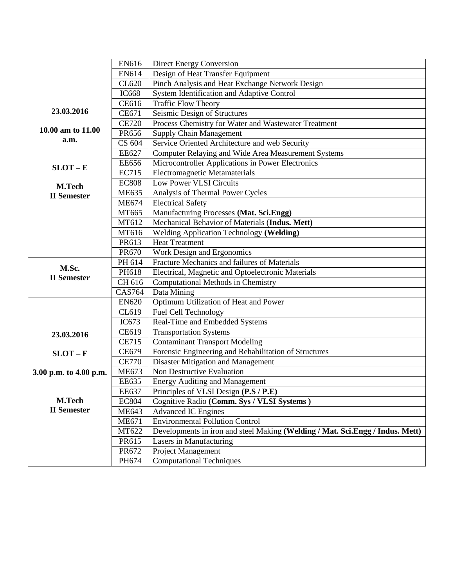|                        | EN616         | <b>Direct Energy Conversion</b>                                               |  |  |  |  |  |  |  |
|------------------------|---------------|-------------------------------------------------------------------------------|--|--|--|--|--|--|--|
|                        | EN614         | Design of Heat Transfer Equipment                                             |  |  |  |  |  |  |  |
|                        | CL620         | Pinch Analysis and Heat Exchange Network Design                               |  |  |  |  |  |  |  |
|                        | <b>IC668</b>  | System Identification and Adaptive Control                                    |  |  |  |  |  |  |  |
|                        | <b>CE616</b>  | <b>Traffic Flow Theory</b>                                                    |  |  |  |  |  |  |  |
| 23.03.2016             | CE671         | Seismic Design of Structures                                                  |  |  |  |  |  |  |  |
|                        | <b>CE720</b>  | Process Chemistry for Water and Wastewater Treatment                          |  |  |  |  |  |  |  |
| 10.00 am to 11.00      | PR656         | Supply Chain Management                                                       |  |  |  |  |  |  |  |
| a.m.                   | CS 604        | Service Oriented Architecture and web Security                                |  |  |  |  |  |  |  |
|                        | <b>EE627</b>  | Computer Relaying and Wide Area Measurement Systems                           |  |  |  |  |  |  |  |
| $SLOT - E$             | <b>EE656</b>  | Microcontroller Applications in Power Electronics                             |  |  |  |  |  |  |  |
|                        | <b>EC715</b>  | <b>Electromagnetic Metamaterials</b>                                          |  |  |  |  |  |  |  |
| M.Tech                 | <b>EC808</b>  | <b>Low Power VLSI Circuits</b>                                                |  |  |  |  |  |  |  |
| <b>II</b> Semester     | <b>ME635</b>  | Analysis of Thermal Power Cycles                                              |  |  |  |  |  |  |  |
|                        | <b>ME674</b>  | <b>Electrical Safety</b>                                                      |  |  |  |  |  |  |  |
|                        | MT665         | Manufacturing Processes (Mat. Sci.Engg)                                       |  |  |  |  |  |  |  |
|                        | MT612         | Mechanical Behavior of Materials (Indus. Mett)                                |  |  |  |  |  |  |  |
|                        | MT616         | <b>Welding Application Technology (Welding)</b>                               |  |  |  |  |  |  |  |
|                        | PR613         | <b>Heat Treatment</b>                                                         |  |  |  |  |  |  |  |
|                        | PR670         | Work Design and Ergonomics                                                    |  |  |  |  |  |  |  |
| M.Sc.                  | PH 614        | Fracture Mechanics and failures of Materials                                  |  |  |  |  |  |  |  |
| <b>II</b> Semester     | PH618         | Electrical, Magnetic and Optoelectronic Materials                             |  |  |  |  |  |  |  |
|                        | CH 616        | Computational Methods in Chemistry                                            |  |  |  |  |  |  |  |
|                        | <b>CAS764</b> | Data Mining                                                                   |  |  |  |  |  |  |  |
|                        | <b>EN620</b>  | Optimum Utilization of Heat and Power                                         |  |  |  |  |  |  |  |
|                        | CL619         | Fuel Cell Technology                                                          |  |  |  |  |  |  |  |
|                        | IC673         | Real-Time and Embedded Systems                                                |  |  |  |  |  |  |  |
| 23.03.2016             | CE619         | <b>Transportation Systems</b>                                                 |  |  |  |  |  |  |  |
|                        | <b>CE715</b>  | <b>Contaminant Transport Modeling</b>                                         |  |  |  |  |  |  |  |
| $SLOT - F$             | CE679         | Forensic Engineering and Rehabilitation of Structures                         |  |  |  |  |  |  |  |
|                        | <b>CE770</b>  | Disaster Mitigation and Management                                            |  |  |  |  |  |  |  |
| 3.00 p.m. to 4.00 p.m. | <b>ME673</b>  | Non Destructive Evaluation                                                    |  |  |  |  |  |  |  |
|                        | <b>EE635</b>  | <b>Energy Auditing and Management</b>                                         |  |  |  |  |  |  |  |
|                        | <b>EE637</b>  | Principles of VLSI Design (P.S / P.E)                                         |  |  |  |  |  |  |  |
| <b>M.Tech</b>          | <b>EC804</b>  | Cognitive Radio (Comm. Sys / VLSI Systems)                                    |  |  |  |  |  |  |  |
| <b>II</b> Semester     | <b>ME643</b>  | <b>Advanced IC Engines</b>                                                    |  |  |  |  |  |  |  |
|                        | <b>ME671</b>  | <b>Environmental Pollution Control</b>                                        |  |  |  |  |  |  |  |
|                        | MT622         | Developments in iron and steel Making (Welding / Mat. Sci.Engg / Indus. Mett) |  |  |  |  |  |  |  |
|                        | PR615         | Lasers in Manufacturing                                                       |  |  |  |  |  |  |  |
|                        | PR672         | Project Management                                                            |  |  |  |  |  |  |  |
|                        | PH674         | <b>Computational Techniques</b>                                               |  |  |  |  |  |  |  |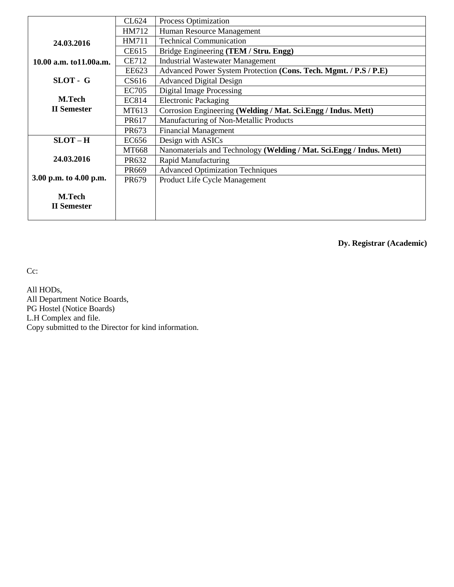|                         | CL624        | <b>Process Optimization</b>                                          |  |  |  |  |  |
|-------------------------|--------------|----------------------------------------------------------------------|--|--|--|--|--|
|                         | HM712        | Human Resource Management                                            |  |  |  |  |  |
| 24.03.2016              | HM711        | <b>Technical Communication</b>                                       |  |  |  |  |  |
|                         | CE615        | Bridge Engineering (TEM / Stru. Engg)                                |  |  |  |  |  |
| 10.00 a.m. to11.00 a.m. | <b>CE712</b> | <b>Industrial Wastewater Management</b>                              |  |  |  |  |  |
|                         | EE623        | Advanced Power System Protection (Cons. Tech. Mgmt. / P.S / P.E)     |  |  |  |  |  |
| SLOT - G                | CS616        | <b>Advanced Digital Design</b>                                       |  |  |  |  |  |
|                         | <b>EC705</b> | <b>Digital Image Processing</b>                                      |  |  |  |  |  |
| <b>M.Tech</b>           | EC814        | <b>Electronic Packaging</b>                                          |  |  |  |  |  |
| <b>II</b> Semester      | MT613        | Corrosion Engineering (Welding / Mat. Sci.Engg / Indus. Mett)        |  |  |  |  |  |
|                         | PR617        | Manufacturing of Non-Metallic Products                               |  |  |  |  |  |
|                         | PR673        | <b>Financial Management</b>                                          |  |  |  |  |  |
| $SLOT-H$                | EC656        | Design with ASICs                                                    |  |  |  |  |  |
|                         | <b>MT668</b> | Nanomaterials and Technology (Welding / Mat. Sci.Engg / Indus. Mett) |  |  |  |  |  |
| 24.03.2016              | PR632        | <b>Rapid Manufacturing</b>                                           |  |  |  |  |  |
|                         | PR669        | <b>Advanced Optimization Techniques</b>                              |  |  |  |  |  |
| 3.00 p.m. to 4.00 p.m.  | <b>PR679</b> | Product Life Cycle Management                                        |  |  |  |  |  |
|                         |              |                                                                      |  |  |  |  |  |
| M.Tech                  |              |                                                                      |  |  |  |  |  |
| <b>II</b> Semester      |              |                                                                      |  |  |  |  |  |
|                         |              |                                                                      |  |  |  |  |  |

**Dy. Registrar (Academic)**

Cc:

All HODs, All Department Notice Boards, PG Hostel (Notice Boards) L.H Complex and file. Copy submitted to the Director for kind information.